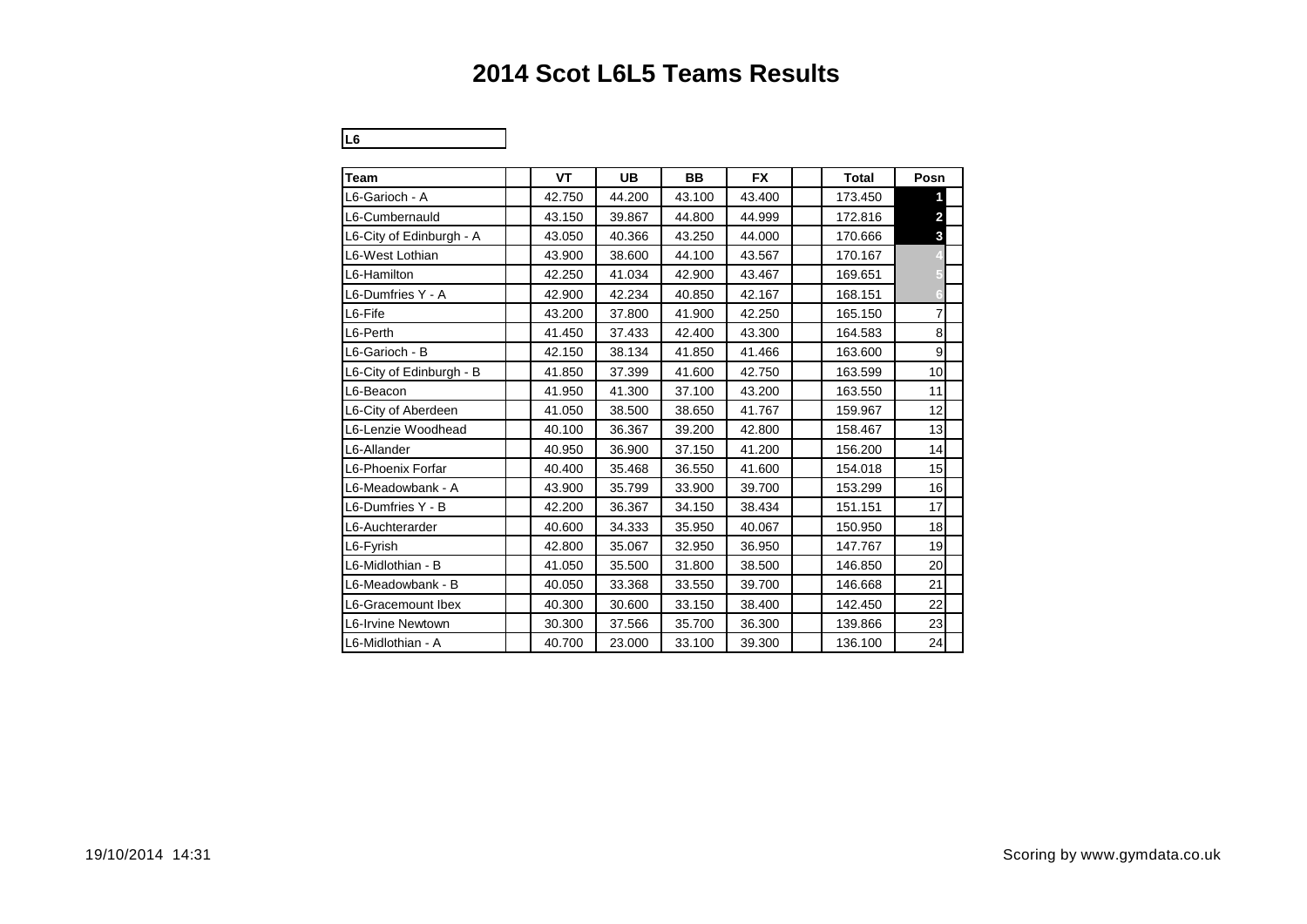# **2014 Scot L6L5 Teams Results**

**L6** 24

| Team                     | VT     | <b>UB</b> | <b>BB</b> | <b>FX</b> | <b>Total</b> | Posn           |  |
|--------------------------|--------|-----------|-----------|-----------|--------------|----------------|--|
| L6-Garioch - A           | 42.750 | 44.200    | 43.100    | 43.400    | 173.450      |                |  |
| L6-Cumbernauld           | 43.150 | 39.867    | 44.800    | 44.999    | 172.816      | $\overline{2}$ |  |
| L6-City of Edinburgh - A | 43.050 | 40.366    | 43.250    | 44.000    | 170.666      | 3              |  |
| L6-West Lothian          | 43.900 | 38.600    | 44.100    | 43.567    | 170.167      |                |  |
| L6-Hamilton              | 42.250 | 41.034    | 42.900    | 43.467    | 169.651      |                |  |
| L6-Dumfries Y - A        | 42.900 | 42.234    | 40.850    | 42.167    | 168.151      |                |  |
| L6-Fife                  | 43.200 | 37.800    | 41.900    | 42.250    | 165.150      | 7              |  |
| L6-Perth                 | 41.450 | 37.433    | 42.400    | 43.300    | 164.583      | 8              |  |
| L6-Garioch - B           | 42.150 | 38.134    | 41.850    | 41.466    | 163.600      | 9              |  |
| L6-City of Edinburgh - B | 41.850 | 37.399    | 41.600    | 42.750    | 163.599      | 10             |  |
| L6-Beacon                | 41.950 | 41.300    | 37.100    | 43.200    | 163.550      | 11             |  |
| L6-City of Aberdeen      | 41.050 | 38.500    | 38.650    | 41.767    | 159.967      | 12             |  |
| L6-Lenzie Woodhead       | 40.100 | 36.367    | 39.200    | 42.800    | 158.467      | 13             |  |
| L6-Allander              | 40.950 | 36.900    | 37.150    | 41.200    | 156.200      | 14             |  |
| L6-Phoenix Forfar        | 40.400 | 35.468    | 36.550    | 41.600    | 154.018      | 15             |  |
| L6-Meadowbank - A        | 43.900 | 35.799    | 33.900    | 39.700    | 153.299      | 16             |  |
| L6-Dumfries Y - B        | 42.200 | 36.367    | 34.150    | 38.434    | 151.151      | 17             |  |
| L6-Auchterarder          | 40.600 | 34.333    | 35.950    | 40.067    | 150.950      | 18             |  |
| L6-Fyrish                | 42.800 | 35.067    | 32.950    | 36.950    | 147.767      | 19             |  |
| L6-Midlothian - B        | 41.050 | 35.500    | 31.800    | 38.500    | 146.850      | 20             |  |
| L6-Meadowbank - B        | 40.050 | 33.368    | 33.550    | 39.700    | 146.668      | 21             |  |
| L6-Gracemount Ibex       | 40.300 | 30.600    | 33.150    | 38.400    | 142.450      | 22             |  |
| L6-Irvine Newtown        | 30.300 | 37.566    | 35.700    | 36.300    | 139.866      | 23             |  |
| L6-Midlothian - A        | 40.700 | 23.000    | 33.100    | 39.300    | 136.100      | 24             |  |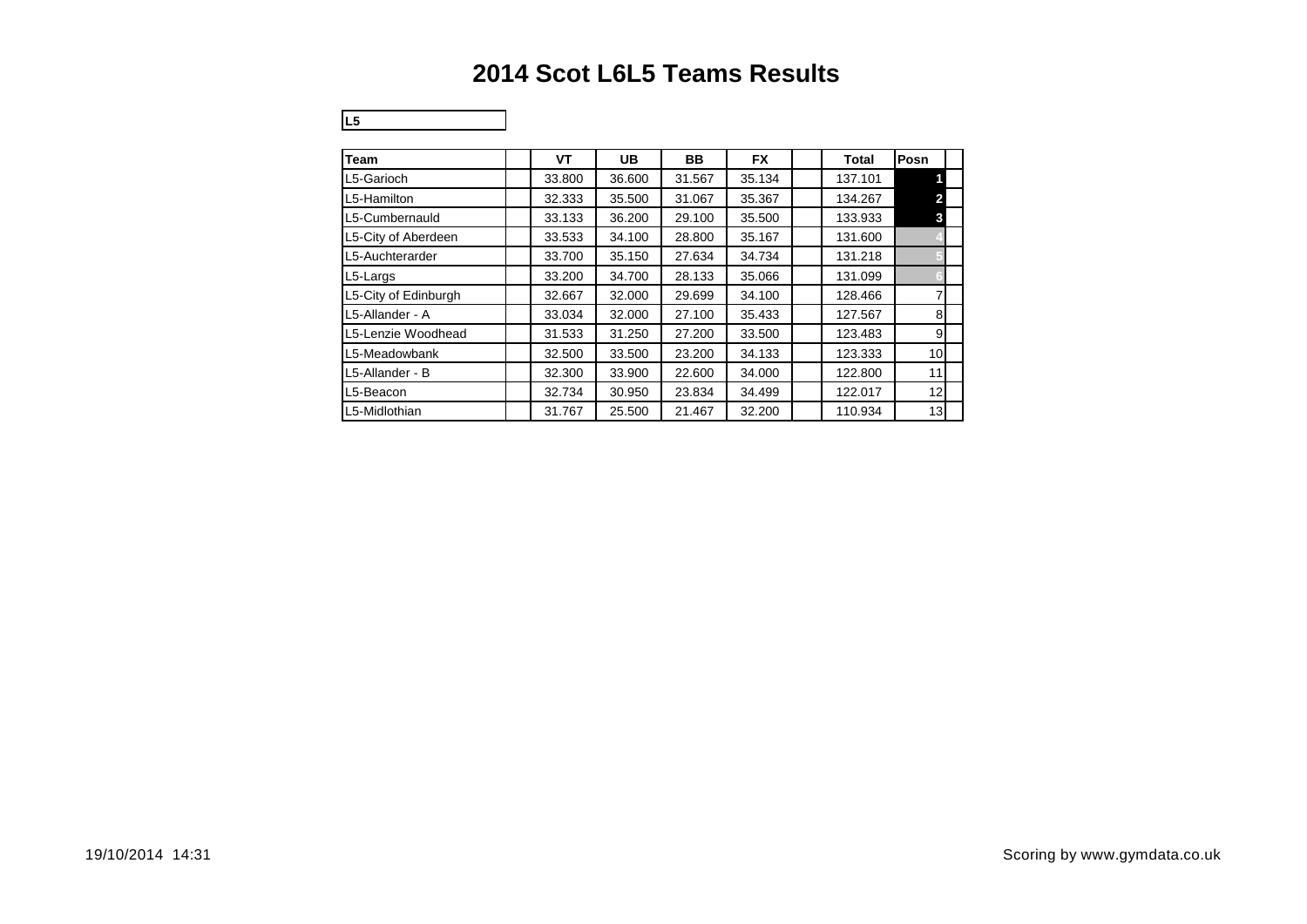# **2014 Scot L6L5 Teams Results**

**L5** 14

| Team                 | VT     | <b>UB</b> | BB     | <b>FX</b> | <b>Total</b> | Posn            |
|----------------------|--------|-----------|--------|-----------|--------------|-----------------|
| L5-Garioch           | 33.800 | 36.600    | 31.567 | 35.134    | 137.101      |                 |
| L5-Hamilton          | 32.333 | 35.500    | 31.067 | 35.367    | 134.267      |                 |
| L5-Cumbernauld       | 33.133 | 36.200    | 29.100 | 35.500    | 133.933      | 3               |
| L5-City of Aberdeen  | 33.533 | 34.100    | 28.800 | 35.167    | 131.600      |                 |
| L5-Auchterarder      | 33.700 | 35.150    | 27.634 | 34.734    | 131.218      |                 |
| L5-Largs             | 33.200 | 34.700    | 28.133 | 35.066    | 131.099      |                 |
| L5-City of Edinburgh | 32.667 | 32.000    | 29.699 | 34.100    | 128.466      | 7               |
| L5-Allander - A      | 33.034 | 32,000    | 27.100 | 35.433    | 127.567      | 8               |
| L5-Lenzie Woodhead   | 31.533 | 31.250    | 27.200 | 33.500    | 123.483      | 9               |
| L5-Meadowbank        | 32.500 | 33.500    | 23.200 | 34.133    | 123.333      | 10 <sup>1</sup> |
| L5-Allander - B      | 32.300 | 33.900    | 22.600 | 34.000    | 122.800      | 11              |
| L5-Beacon            | 32.734 | 30.950    | 23.834 | 34.499    | 122.017      | 12              |
| L5-Midlothian        | 31.767 | 25.500    | 21.467 | 32.200    | 110.934      | 13              |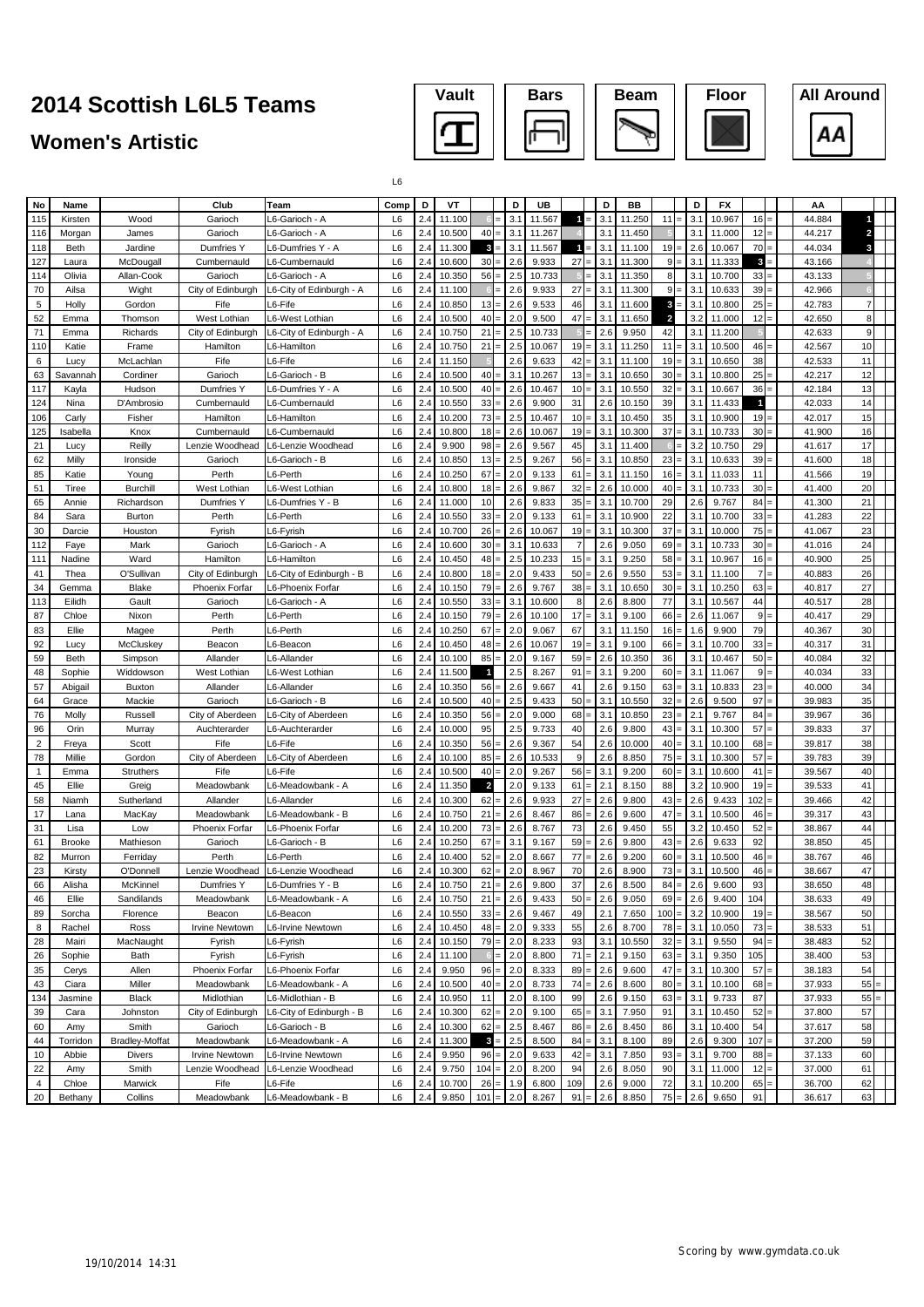### **Women's Artistic**







L6

| No             | Name           |                       | Club                       | Team                                    | Comp           | D          | VT               |                         |     | D          | UB               |                      | D          | BB              |                         |                   | D          | <b>FX</b>        |                |  | AA               |                |  |
|----------------|----------------|-----------------------|----------------------------|-----------------------------------------|----------------|------------|------------------|-------------------------|-----|------------|------------------|----------------------|------------|-----------------|-------------------------|-------------------|------------|------------------|----------------|--|------------------|----------------|--|
| 115            | Kirsten        | Wood                  | Garioch                    | -6-Garioch - A                          | L <sub>6</sub> | 2.4        | 11.100           |                         |     | 3.1        | 11.567           | -1                   | 3.1        | 11.250          | 11                      |                   | 3.1        | 10.967           | 16             |  | 44.884           |                |  |
| 116            | Morgan         | James                 | Garioch                    | L6-Garioch - A                          | L <sub>6</sub> | 2.4        | 10.500           | 40                      |     | 3.1        | 11.267           |                      | 3.1        | 11.450          |                         |                   | 3.1        | 11.000           | 12             |  | 44.217           | 2              |  |
| 118            | Beth           | Jardine               | Dumfries Y                 | L6-Dumfries Y - A                       | L <sub>6</sub> | 2.4        | 11.300           | 3                       |     | 3.1        | 11.567           | -1                   | 3.1        | 11.100          | 19                      |                   | 2.6        | 10.067           | 70             |  | 44.034           | З              |  |
| 127            | Laura          | McDougall             | Cumbernauld                | <sub>-6</sub> -Cumbernauld              | L6             | 2.4        | 10.600           | 30                      |     | 2.6        | 9.933            | 27                   | 3.1        | 11.300          | 9                       |                   | 3.1        | 11.333           | 3              |  | 43.166           |                |  |
| 114            | Olivia         | Allan-Cook            | Garioch                    | <sub>-6</sub> -Garioch - A              | L <sub>6</sub> | 2.4        | 10.350           | 56                      |     | 2.5        | 10.733           |                      | 3.1        | 11.350          | 8                       |                   | 3.1        | 10.700           | 33             |  | 43.133           |                |  |
| 70             | Ailsa          | Wight                 | City of Edinburgh          | L6-City of Edinburgh - A                | L6             | 2.4        | 11.100           |                         |     | 2.6        | 9.933            | 27                   | 3.1        | 11.300          | 9                       |                   | 3.1        | 10.633           | 39             |  | 42.966           |                |  |
| $\,$ 5 $\,$    | Holly          | Gordon                | Fife                       | -6-Fife                                 | L <sub>6</sub> | 2.4        | 10.850           | 13                      |     | 2.6        | 9.533            | 46                   | 3.1        | 11.600          | $\mathbf{3}$            |                   | 3.1        | 10.800           | 25             |  | 42.783           | $\overline{7}$ |  |
| 52             | Emma           | Thomson               | West Lothian               | L6-West Lothian                         | L <sub>6</sub> | 2.4        | 10.500           | 40                      |     | 2.0        | 9.500            | 47                   | 3.1        | 11.650          | $\overline{\mathbf{z}}$ |                   | 3.2        | 11.000           | 12             |  | 42.650           | 8              |  |
| 71             | Emma           | Richards              | City of Edinburgh          | L6-City of Edinburgh - A                | L6             | 2.4        | 10.750           | 21                      |     | 2.5        | 10.733           |                      | 2.6        | 9.950           | 42                      |                   | 3.1        | 11.200           |                |  | 42.633           | 9              |  |
| 110            | Katie          | Frame                 | Hamilton                   | 6-Hamilton                              | L6             | 2.4        | 10.750           | 21                      |     | 2.5        | 10.067           | 19                   | 3.1        | 11.250          | 11                      |                   | 3.1        | 10.500           | 46             |  | 42.567           | 10             |  |
| 6              | Lucy           | McLachlan             | Fife                       | .6-Fife                                 | L <sub>6</sub> | 2.4        | 11.150           |                         |     | 2.6        | 9.633            | 42                   | 3.1        | 11.100          | 19                      | $=$               | 3.1        | 10.650           | 38             |  | 42.533           | 11             |  |
| 63             | Savannah       | Cordiner              | Garioch                    | <sub>-6</sub> -Garioch - B              | L <sub>6</sub> | 2.4        | 10.500           | 40                      |     | 3.1        | 10.267           | 13                   | 3.1        | 10.650          | 30                      |                   | 3.1        | 10.800           | 25             |  | 42.217           | 12             |  |
| 117            | Kayla          | Hudson                | Dumfries Y                 | -6-Dumfries Y - A                       | L6             | 2.4        | 10.500           | 40                      |     | 2.6        | 10.467           | 10                   | 3.1        | 10.550          | 32                      | Ξ                 | 3.1        | 10.667           | 36             |  | 42.184           | 13             |  |
| 124            | Nina           | D'Ambrosio            | Cumbernauld                | -6-Cumbernauld                          | L <sub>6</sub> | 2.4        | 10.550           | 33                      |     | 2.6        | 9.900            | 31                   | 2.6        | 10.150          | 39                      |                   | 3.1        | 11.433           | 1              |  | 42.033           | 14             |  |
| 106            | Carly          | Fisher                | Hamilton                   | .6-Hamilton                             | L <sub>6</sub> | 2.4        | 10.200           | 73                      |     | 2.5        | 10.467           | 10                   | 3.1        | 10.450          | 35                      |                   | 3.1        | 10.900           | 19             |  | 42.017           | 15             |  |
| 125            | Isabella       | Knox                  | Cumbernauld                | -6-Cumbernauld                          | L <sub>6</sub> | 2.4        | 10.800           | 18                      |     | 2.6        | 10.067           | 19                   | 3.1        | 10.300          | 37                      | $\equiv$          | 3.1        | 10.733           | 30             |  | 41.900           | 16             |  |
| 21             | Lucy           | Reilly                | Lenzie Woodhead            | L6-Lenzie Woodhead                      | L6             | 2.4        | 9.900            | 98                      |     | 2.6        | 9.567            | 45                   | 3.1        | 11.400          |                         | $=$               | 3.2        | 10.750           | 29             |  | 41.617           | 17             |  |
| 62             | Milly          | Ironside              | Garioch                    | <sub>-6</sub> -Garioch - B              | L <sub>6</sub> | 2.4        | 10.850<br>10.250 | 13                      |     | 2.5        | 9.267            | 56                   | 3.1        | 10.850          | 23                      | $=$               | 3.1        | 10.633           | 39             |  | 41.600           | 18             |  |
| 85             | Katie          | Young                 | Perth                      | -6-Perth                                | L6             | 2.4        |                  | 67                      |     | 2.0        | 9.133            | 61                   | 3.1        | 11.150          | 16                      | $=$               | 3.1        | 11.033           | 11             |  | 41.566           | 19             |  |
| 51             | Tiree          | Burchill              | West Lothian<br>Dumfries Y | L6-West Lothian                         | L6<br>L6       | 2.4<br>2.4 | 10.800<br>11.000 | 18                      |     | 2.6        | 9.867            | 32                   | 2.6        | 10.000          | 40<br>29                |                   | 3.1        | 10.733           | 30<br>84       |  | 41.400           | 20<br>21       |  |
| 65<br>84       | Annie          | Richardson            | Perth                      | L6-Dumfries Y - B<br>-6-Perth           | L6             | 2.4        |                  | 10<br>33                |     | 2.6<br>2.0 | 9.833            | 35<br>61             | 3.1<br>3.1 | 10.700          | 22                      |                   | 2.6<br>3.1 | 9.767            | 33             |  | 41.300<br>41.283 | 22             |  |
|                | Sara           | <b>Burton</b>         |                            |                                         |                |            | 10.550           |                         |     |            | 9.133            |                      |            | 10.900          |                         |                   |            | 10.700           |                |  |                  |                |  |
| 30<br>112      | Darcie<br>Faye | Houston<br>Mark       | Fyrish<br>Garioch          | .6-Fyrish<br><sub>-</sub> 6-Garioch - A | L6<br>L6       | 2.4<br>2.4 | 10.700<br>10.600 | 26<br>30                |     | 2.6<br>3.1 | 10.067<br>10.633 | 19<br>$\overline{7}$ | 3.1<br>2.6 | 10.300<br>9.050 | 37<br>69                | $=$               | 3.1<br>3.1 | 10.000<br>10.733 | 75<br>30       |  | 41.067<br>41.016 | 23<br>24       |  |
| 111            | Nadine         | Ward                  | Hamilton                   | .6-Hamilton                             | L6             | 2.4        | 10.450           | 48                      |     | 2.5        | 10.233           | 15                   | 3.1        | 9.250           | 58                      | $=$               | 3.1        | 10.967           | 16             |  | 40.900           | 25             |  |
| 41             | Thea           | O'Sullivan            | City of Edinburgh          | L6-City of Edinburgh - B                | L <sub>6</sub> | 2.4        | 10.800           | 18                      |     | 2.0        | 9.433            | 50                   | 2.6        | 9.550           | 53                      |                   | 3.1        | 11.100           | $\overline{7}$ |  | 40.883           | 26             |  |
| 34             | Gemma          | <b>Blake</b>          | Phoenix Forfar             | L6-Phoenix Forfar                       | L <sub>6</sub> | 2.4        | 10.150           | 79                      |     | 2.6        | 9.767            | 38                   | 3.1        | 10.650          | 30                      |                   | 3.1        | 10.250           | 63             |  | 40.817           | 27             |  |
| 113            | Eilidh         | Gault                 | Garioch                    | L6-Garioch - A                          | L <sub>6</sub> | 2.4        | 10.550           | 33                      |     | 3.1        | 10.600           | 8                    | 2.6        | 8.800           | 77                      |                   | 3.1        | 10.567           | 44             |  | 40.517           | 28             |  |
| 87             | Chloe          | Nixon                 | Perth                      | -6-Perth                                | L6             | 2.4        | 10.150           | 79                      |     | 2.6        | 10.100           | 17                   | 3.1        | 9.100           | 66                      |                   | 2.6        | 11.067           | 9              |  | 40.417           | 29             |  |
| 83             | Ellie          | Magee                 | Perth                      | -6-Perth                                | L6             | 2.4        | 10.250           | 67                      |     | 2.0        | 9.067            | 67                   | 3.1        | 11.150          | 16                      |                   | 1.6        | 9.900            | 79             |  | 40.367           | 30             |  |
| 92             | Lucy           | McCluskey             | Beacon                     | L6-Beacon                               | L <sub>6</sub> | 2.4        | 10.450           | 48                      |     | 2.6        | 10.067           | 19                   | 3.1        | 9.100           | 66                      |                   | 3.1        | 10.700           | 33             |  | 40.317           | 31             |  |
| 59             | <b>Beth</b>    | Simpson               | Allander                   | 6-Allander                              | L <sub>6</sub> | 2.4        | 10.100           | 85                      |     | 2.0        | 9.167            | 59                   | 2.6        | 10.350          | 36                      |                   | 3.1        | 10.467           | 50             |  | 40.084           | 32             |  |
| 48             | Sophie         | Widdowson             | West Lothian               | L6-West Lothian                         | L <sub>6</sub> | 2.4        | 11.500           | $\overline{1}$          |     | 2.5        | 8.267            | 91                   | 3.1        | 9.200           | 60                      |                   | 3.1        | 11.067           | 9              |  | 40.034           | 33             |  |
| 57             | Abigail        | <b>Buxton</b>         | Allander                   | 6-Allander                              | L <sub>6</sub> | 2.4        | 10.350           | 56                      |     | 2.6        | 9.667            | 41                   | 2.6        | 9.150           | 63                      | $=$               | 3.1        | 10.833           | 23             |  | 40.000           | 34             |  |
| 64             | Grace          | Mackie                | Garioch                    | -6-Garioch - B                          | L6             | 2.4        | 10.500           | 40                      |     | 2.5        | 9.433            | 50                   | 3.1        | 10.550          | 32                      | $=$               | 2.6        | 9.500            | 97             |  | 39.983           | 35             |  |
| 76             | Molly          | Russell               | City of Aberdeen           | -6-City of Aberdeen                     | L6             | 2.4        | 10.350           | 56                      |     | 2.0        | 9.000            | 68                   | 3.1        | 10.850          | 23                      | $\equiv$          | 2.1        | 9.767            | 84             |  | 39.967           | 36             |  |
| 96             | Orin           | Murray                | Auchterarder               | _6-Auchterarder                         | L6             | 2.4        | 10.000           | 95                      |     | 2.5        | 9.733            | 40                   | 2.6        | 9.800           | 43                      | $=$               | 3.1        | 10.300           | 57             |  | 39.833           | 37             |  |
| $\overline{2}$ | Freya          | Scott                 | Fife                       | 6-Fife                                  | L <sub>6</sub> | 2.4        | 10.350           | 56                      |     | 2.6        | 9.367            | 54                   | 2.6        | 10.000          | 40                      | $\equiv$          | 3.1        | 10.100           | 68             |  | 39.817           | 38             |  |
| 78             | Millie         | Gordon                | City of Aberdeen           | L6-City of Aberdeen                     | L6             | 2.4        | 10.100           | 85                      |     | 2.6        | 10.533           | 9                    | 2.6        | 8.850           | 75                      | Ξ                 | 3.1        | 10.300           | 57             |  | 39.783           | 39             |  |
| $\mathbf{1}$   | Emma           | <b>Struthers</b>      | Fife                       | -6-Fife                                 | L <sub>6</sub> | 2.4        | 10.500           | 40                      |     | 2.0        | 9.267            | 56                   | 3.1        | 9.200           | 60                      | $\equiv$          | 3.1        | 10.600           | 41             |  | 39.567           | 40             |  |
| 45             | Ellie          | Greig                 | Meadowbank                 | <sub>-6</sub> -Meadowbank - A           | L6             | 2.4        | 11.350           | $\overline{\mathbf{z}}$ |     | 2.0        | 9.133            | 61                   | 2.1        | 8.150           | 88                      |                   | 3.2        | 10.900           | 19             |  | 39.533           | 41             |  |
| 58             | Niamh          | Sutherland            | Allander                   | _6-Allander                             | L <sub>6</sub> | 2.4        | 10.300           | 62                      |     | 2.6        | 9.933            | 27                   | 2.6        | 9.800           | 43                      | Ξ                 | 2.6        | 9.433            | 102            |  | 39.466           | 42             |  |
| 17             | Lana           | MacKay                | Meadowbank                 | L6-Meadowbank - B                       | L <sub>6</sub> | 2.4        | 10.750           | 21                      |     | 2.6        | 8.467            | 86                   | 2.6        | 9.600           | 47                      |                   | 3.1        | 10.500           | 46             |  | 39.317           | 43             |  |
| 31             | Lisa           | Low                   | <b>Phoenix Forfar</b>      | L6-Phoenix Forfar                       | L6             | 2.4        | 10.200           | 73                      |     | 2.6        | 8.767            | 73                   | 2.6        | 9.450           | 55                      |                   | 3.2        | 10.450           | 52             |  | 38.867           | 44             |  |
| 61             | <b>Brooke</b>  | Mathieson             | Garioch                    | L6-Garioch - B                          | L6             | 2.4        | 10.250           | 67                      |     | 3.1        | 9.167            | 59                   | 2.6        | 9.800           | 43                      |                   | 2.6        | 9.633            | 92             |  | 38.850           | 45             |  |
| 82             | Murron         | Ferriday              | Perth                      | -6-Perth                                | L6             | 2.4        | 10.400           | 52                      |     | 2.0        | 8.667            | 77                   | 2.6        | 9.200           | 60                      | $=$               | 3.1        | 10.500           | 46             |  | 38.767           | 46             |  |
| 23             | Kirsty         | O'Donnell             | Lenzie Woodhead            | L6-Lenzie Woodhead                      | L6             | 2.4        | 10.300           | 62                      |     | 2.0        | 8.967            | 70                   | 2.6        | 8.900           | 73                      | $=$               | 3.1        | 10.500           | 46             |  | 38.667           | 47             |  |
| 66             | Alisha         | McKinnel              | Dumfries Y                 | <sub>-6</sub> -Dumfries Y - B           | L6             | 2.4        | 10.750           | 21                      |     | 2.6        | 9.800            | 37                   | 2.6        | 8.500           |                         | $84 =$            | 2.6        | 9.600            | 93             |  | 38.650           | 48             |  |
| 46             | Ellie          | Sandilands            | Meadowbank                 | L6-Meadowbank - A                       | L6             | 2.4        | 10.750           | $21 = 2.6$              |     |            | 9.433            | 50                   | 2.6        | 9.050           | 69                      | $\qquad \qquad =$ | 2.6        | 9.400            | 104            |  | 38.633           | 49             |  |
| 89             | Sorcha         | Florence              | Beacon                     | L6-Beacon                               | L <sub>6</sub> | 2.4        | 10.550           | 33                      |     | 2.6        | 9.467            | 49                   | 2.1        | 7.650           | 100                     | $=$               | 3.2        | 10.900           | 19             |  | 38.567           | 50             |  |
| 8              | Rachel         | Ross                  | Irvine Newtown             | L6-Irvine Newtown                       | L6             | 2.4        | 10.450           | 48                      |     | 2.0        | 9.333            | 55                   | 2.6        | 8.700           | 78                      | $\equiv$          | 3.1        | 10.050           | 73             |  | 38.533           | 51             |  |
| 28             | Mairi          | MacNaught             | Fyrish                     | L6-Fyrish                               | L6             | 2.4        | 10.150           | 79                      |     | 2.0        | 8.233            | 93                   | 3.1        | 10.550          | 32                      | $\equiv$          | 3.1        | 9.550            | 94             |  | 38.483           | 52             |  |
| 26             | Sophie         | Bath                  | Fyrish                     | 6-Fyrish                                | L6             | 2.4        | 11.100           |                         |     | 2.0        | 8.800            | 71                   | 2.1        | 9.150           | 63                      |                   | 3.1        | 9.350            | 105            |  | 38.400           | 53             |  |
| 35             | Cerys          | Allen                 | Phoenix Forfar             | L6-Phoenix Forfar                       | L6             | 2.4        | 9.950            | 96                      |     | 2.0        | 8.333            | 89                   | 2.6        | 9.600           | 47                      | Ξ                 | 3.1        | 10.300           | 57             |  | 38.183           | 54             |  |
| 43             | Ciara          | Miller                | Meadowbank                 | L6-Meadowbank - A                       | L6             | 2.4        | 10.500           | 40                      |     | 2.0        | 8.733            | 74                   | 2.6        | 8.600           | 80                      | Ξ                 | 3.1        | 10.100           | 68             |  | 37.933           | $55 =$         |  |
| 134            | Jasmine        | <b>Black</b>          | Midlothian                 | L6-Midlothian - B                       | L6             | 2.4        | 10.950           | 11                      |     | 2.0        | 8.100            | 99                   | 2.6        | 9.150           | 63                      |                   | 3.1        | 9.733            | 87             |  | 37.933           | $55 =$         |  |
| 39             | Cara           | Johnston              | City of Edinburgh          | L6-City of Edinburgh - B                | L <sub>6</sub> | 2.4        | 10.300           | 62                      |     | 2.0        | 9.100            | 65                   | 3.1        | 7.950           | 91                      |                   | 3.1        | 10.450           | 52             |  | 37.800           | 57             |  |
| 60             | Amy            | Smith                 | Garioch                    | L6-Garioch - B                          | L6             | 2.4        | 10.300           | 62                      |     | 2.5        | 8.467            | 86                   | 2.6        | 8.450           | 86                      |                   | 3.1        | 10.400           | 54             |  | 37.617           | 58             |  |
| 44             | Torridon       | <b>Bradley-Moffat</b> | Meadowbank                 | -6-Meadowbank - A                       | L <sub>6</sub> | 2.4        | 11.300           | $\overline{\mathbf{3}}$ |     | 2.5        | 8.500            | 84                   | 3.1        | 8.100           | 89                      |                   | 2.6        | 9.300            | 107            |  | 37.200           | 59             |  |
| 10             | Abbie          | Divers                | Irvine Newtown             | L6-Irvine Newtown                       | L6             | 2.4        | 9.950            | 96                      |     | 2.0        | 9.633            | 42                   | 3.1        | 7.850           | 93                      |                   | 3.1        | 9.700            | 88             |  | 37.133           | 60             |  |
| 22             | Amy            | Smith                 | Lenzie Woodhead            | L6-Lenzie Woodhead                      | L6             | 2.4        | 9.750            | 104                     |     | 2.0        | 8.200            | 94                   | 2.6        | 8.050           | 90                      |                   | 3.1        | 11.000           | 12             |  | 37.000           | 61             |  |
| $\overline{4}$ | Chloe          | Marwick               | Fife                       | -6-Fife                                 | L6             | 2.4        | 10.700           | 26                      |     | 1.9        | 6.800            | 109                  | 2.6        | 9.000           | 72                      |                   | 3.1        | 10.200           | 65             |  | 36.700           | 62             |  |
| 20             | Bethany        | Collins               | Meadowbank                 | _6-Meadowbank - B                       | L6             | 2.4        | 9.850            | 101                     | $=$ | 2.0        | 8.267            | 91                   | 2.6        | 8.850           |                         | $75 =$            | 2.6        | 9.650            | 91             |  | 36.617           | 63             |  |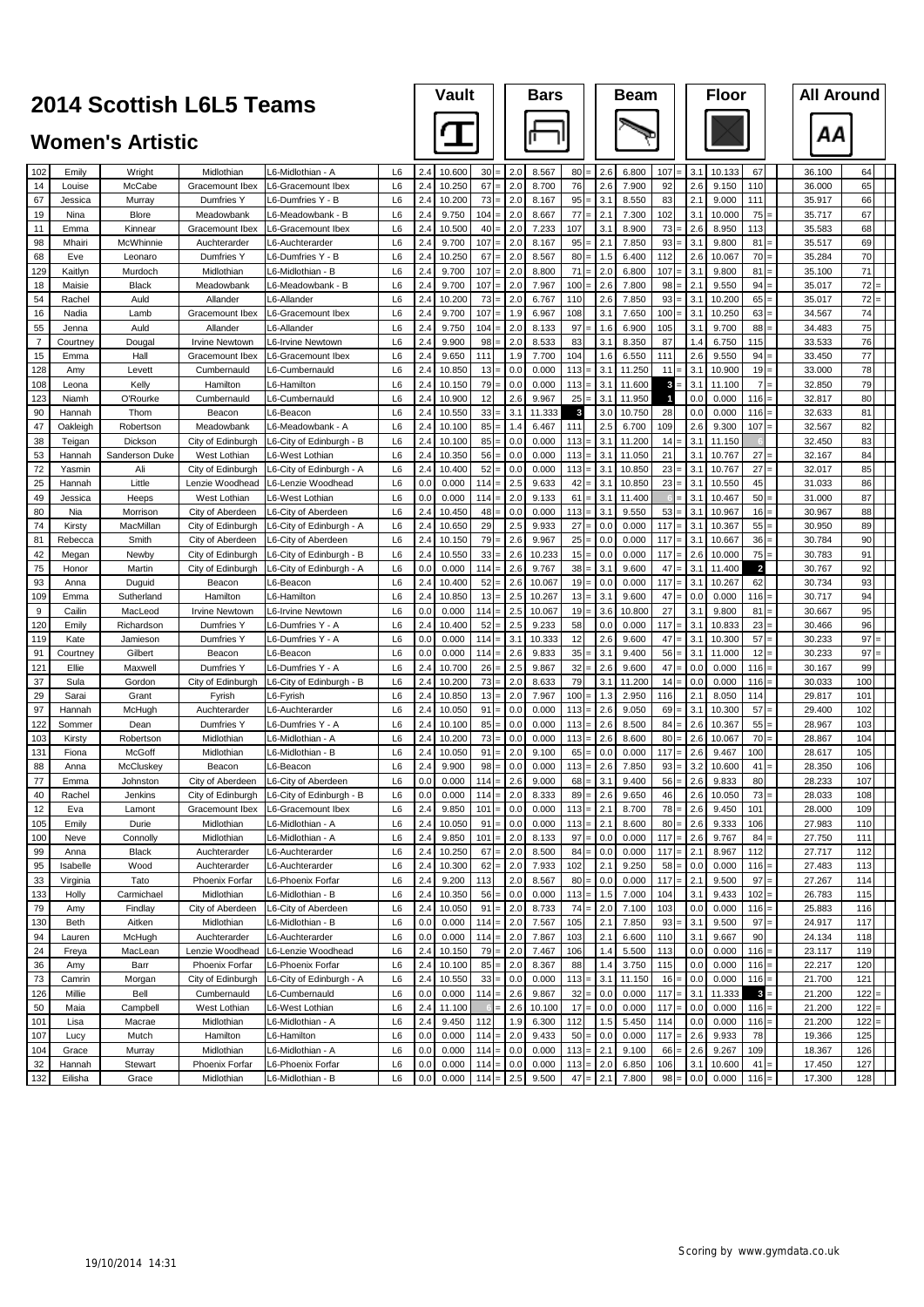# **Vault Bars Beam Beam**<br> **Bars Beam Floor**

|                |                    | <b>Women's Artistic</b> |                                   |                                                    |                      |            |                  |                |            |                  |            |            |                 |               |            |                 |                         | ΑА               |            |  |
|----------------|--------------------|-------------------------|-----------------------------------|----------------------------------------------------|----------------------|------------|------------------|----------------|------------|------------------|------------|------------|-----------------|---------------|------------|-----------------|-------------------------|------------------|------------|--|
| 102            | Emily              | Wright                  | Midlothian                        | <sub>-</sub> 6-Midlothian - A                      | L6                   | 2.4        | 10.600           | 30<br>$\equiv$ | 2.0        | 8.567            | 80         | 2.6        | 6.800           | 107           | 3.1        | 10.133          | 67                      | 36.100           | 64         |  |
| 14             | Louise             | McCabe                  | Gracemount Ibex                   | L6-Gracemount Ibex                                 | L6                   | 2.4        | 10.250           | 67             | 2.0        | 8.700            | 76         | 2.6        | 7.900           | 92            | 2.6        | 9.150           | 110                     | 36.000           | 65         |  |
| 67             | Jessica            | Murray                  | Dumfries Y                        | <sub>-</sub> 6-Dumfries Y - B                      | L6                   | 2.4        | 10.200           | 73             | 2.0        | 8.167            | 95         | 3.1        | 8.550           | 83            | 2.1        | 9.000           | 111                     | 35.917           | 66         |  |
| 19             | Nina               | Blore                   | Meadowbank                        | <sub>-</sub> 6-Meadowbank - B                      | L6                   | 2.4        | 9.750            | 104            | 2.0        | 8.667            | 77         | 2.1        | 7.300           | 102           | 3.1        | 10.000          | 75                      | 35.717           | 67         |  |
| 11             | Emma               | Kinnear                 | Gracemount Ibex                   | L6-Gracemount Ibex                                 | L6                   | 2.4        | 10.500           | 40             | 2.0        | 7.233            | 107        | 3.1        | 8.900           | $73 =$        | 2.6        | 8.950           | 113                     | 35.583           | 68         |  |
| 98<br>68       | Mhairi             | McWhinnie               | Auchterarder                      | _6-Auchterarder                                    | L6<br>L6             | 2.4<br>2.4 | 9.700<br>10.250  | 107<br>67      | 2.0<br>2.0 | 8.167<br>8.567   | 95<br>80   | 2.1<br>1.5 | 7.850<br>6.400  | 93<br>112     | 3.1<br>2.6 | 9.800           | 81<br>70                | 35.517           | 69<br>70   |  |
| 129            | Eve<br>Kaitlyn     | Leonaro<br>Murdoch      | Dumfries Y<br>Midlothian          | <sub>-</sub> 6-Dumfries Y - B<br>L6-Midlothian - B | L6                   | 2.4        | 9.700            | 107            | 2.0        | 8.800            | 71         | 2.0        | 6.800           | 107           | 3.1        | 10.067<br>9.800 | 81                      | 35.284<br>35.100 | 71         |  |
| 18             | Maisie             | <b>Black</b>            | Meadowbank                        | L6-Meadowbank - B                                  | L6                   | 2.4        | 9.700            | 107            | 2.0        | 7.967            | 100        | 2.6        | 7.800           | 98            | 2.1        | 9.550           | 94                      | 35.017           | 72         |  |
| 54             | Rachel             | Auld                    | Allander                          | L6-Allander                                        | L6                   | 2.4        | 10.200           | 73             | 2.0        | 6.767            | 110        | 2.6        | 7.850           | 93            | 3.1        | 10.200          | 65                      | 35.017           | 72         |  |
| 16             | Nadia              | Lamb                    | Gracemount Ibex                   | L6-Gracemount Ibex                                 | L6                   | 2.4        | 9.700            | 107            | 1.9        | 6.967            | 108        | 3.1        | 7.650           | 100           | 3.1        | 10.250          | 63                      | 34.567           | 74         |  |
| 55             | Jenna              | Auld                    | Allander                          | L6-Allander                                        | L6                   | 2.4        | 9.750            | 104            | 2.0        | 8.133            | 97         | 1.6        | 6.900           | 105           | 3.1        | 9.700           | 88                      | 34.483           | 75         |  |
| $\overline{7}$ | Courtney           | Dougal                  | <b>Irvine Newtown</b>             | L6-Irvine Newtown                                  | L6                   | 2.4        | 9.900            | 98             | 2.0        | 8.533            | 83         | 3.1        | 8.350           | 87            | 1.4        | 6.750           | 115                     | 33.533           | 76         |  |
| 15             | Emma               | Hall                    | Gracemount Ibex                   | L6-Gracemount Ibex                                 | L6                   | 2.4        | 9.650            | 111            | 1.9        | 7.700            | 104        | 1.6        | 6.550           | 111           | 2.6        | 9.550           | 94                      | 33.450           | 77         |  |
| 128            | Amy                | Levett                  | Cumbernauld                       | <sub>-6</sub> -Cumbernauld                         | L6                   | 2.4        | 10.850           | 13             | 0.0        | 0.000            | 113        | 3.1        | 11.250          | 11            | 3.1        | 10.900          | 19                      | 33.000           | 78         |  |
| 108            | Leona              | Kelly                   | Hamilton                          | 6-Hamilton                                         | L6                   | 2.4        | 10.150           | 79             | 0.0        | 0.000            | 113        | 3.1        | 11.600          | 3             | 3.1        | 11.100          | 7                       | 32.850           | 79         |  |
| 123            | Niamh              | O'Rourke                | Cumbernauld                       | -6-Cumbernauld                                     | L6                   | 2.4        | 10.900           | 12             | 2.6        | 9.967            | 25         | 3.1<br>3.0 | 11.950          | 1             | 0.0        | 0.000           | 116                     | 32.817           | 80         |  |
| 90<br>47       | Hannah<br>Oakleigh | Thom<br>Robertson       | Beacon<br>Meadowbank              | .6-Beacon<br><sub>-</sub> 6-Meadowbank - A         | L6<br>L6             | 2.4<br>2.4 | 10.550<br>10.100 | 33<br>85       | 3.1<br>1.4 | 11.333<br>6.467  | 3<br>111   | 2.5        | 10.750<br>6.700 | 28<br>109     | 0.0<br>2.6 | 0.000<br>9.300  | 116<br>107              | 32.633<br>32.567 | 81<br>82   |  |
| 38             | Teigan             | Dickson                 | City of Edinburgh                 | L6-City of Edinburgh - B                           | L <sub>6</sub>       | 2.4        | 10.100           | 85             | 0.0        | 0.000            | 113        | 3.1        | 11.200          | 14            | 3.1        | 11.150          |                         | 32.450           | 83         |  |
| 53             | Hannah             | Sanderson Duke          | West Lothian                      | <b>6-West Lothian</b>                              | L6                   | 2.4        | 10.350           | 56             | 0.0        | 0.000            | 113        | 3.7        | 11.050          | 21            | 3.1        | 10.767          | 27                      | 32.167           | 84         |  |
| 72             | Yasmin             | Ali                     | City of Edinburgh                 | L6-City of Edinburgh - A                           | L6                   | 2.4        | 10.400           | 52             | 0.0        | 0.000            | 113        | 3.1        | 10.850          | 23            | 3.1        | 10.767          | 27                      | 32.017           | 85         |  |
| 25             | Hannah             | Little                  | Lenzie Woodhead                   | L6-Lenzie Woodhead                                 | L6                   | 0.0        | 0.000            | 114            | 2.5        | 9.633            | 42         | 3.1        | 10.850          | 23            | 3.1        | 10.550          | 45                      | 31.033           | 86         |  |
| 49             | Jessica            | Heeps                   | West Lothian                      | <sub>-</sub> 6-West Lothian                        | L6                   | 0.0        | 0.000            | 114            | 2.0        | 9.133            | 61         | 3.1        | 11.400          |               | 3.1        | 10.467          | 50                      | 31.000           | 87         |  |
| 80             | Nia                | Morrison                | City of Aberdeen                  | L6-City of Aberdeen                                | L6                   | 2.4        | 10.450           | 48             | 0.0        | 0.000            | 113        | 3.1        | 9.550           | 53            | 3.1        | 10.967          | 16                      | 30.967           | 88         |  |
| 74             | Kirsty             | MacMillan               | City of Edinburgh                 | L6-City of Edinburgh - A                           | L6                   | 2.4        | 10.650           | 29             | 2.5        | 9.933            | 27         | 0.0        | 0.000           | 117           | 3.1        | 10.367          | 55                      | 30.950           | 89         |  |
| 81             | Rebecca            | Smith                   | City of Aberdeen                  | L6-City of Aberdeen                                | L6                   | 2.4        | 10.150           | 79             | 2.6        | 9.967            | 25         | 0.0        | 0.000           | 117           | 3.1        | 10.667          | 36                      | 30.784           | 90         |  |
| 42             | Megan              | Newby                   | City of Edinburgh                 | L6-City of Edinburgh - B                           | L6                   | 2.4        | 10.550           | 33             | 2.6        | 10.233           | 15         | 0.0        | 0.000           | 117           | 2.6        | 10.000          | 75                      | 30.783           | 91         |  |
| 75             | Honor              | Martin                  | City of Edinburgh                 | L6-City of Edinburgh - A                           | L6                   | 0.0        | 0.000            | 114            | 2.6        | 9.767            | 38         | 3.1        | 9.600           | 47            | 3.1        | 11.400          | $\overline{\mathbf{z}}$ | 30.767           | 92         |  |
| 93             | Anna               | Duguid                  | Beacon                            | _6-Beacon                                          | L6                   | 2.4        | 10.400           | 52             | 2.6<br>2.5 | 10.067           | 19         | 0.0<br>3.1 | 0.000           | $117 =$<br>47 | 3.1        | 10.267          | 62                      | 30.734           | 93         |  |
| 109<br>9       | Emma<br>Cailin     | Sutherland<br>MacLeod   | Hamilton<br><b>Irvine Newtown</b> | _6-Hamilton<br>L6-Irvine Newtown                   | L <sub>6</sub><br>L6 | 2.4<br>0.0 | 10.850<br>0.000  | 13<br>114      | 2.5        | 10.267<br>10.067 | 13<br>19   | 3.6        | 9.600<br>10.800 | 27            | 0.0<br>3.1 | 0.000<br>9.800  | 116<br>81               | 30.717<br>30.667 | 94<br>95   |  |
| 120            | Emily              | Richardson              | Dumfries Y                        | L6-Dumfries Y - A                                  | L6                   | 2.4        | 10.400           | 52             | 2.5        | 9.233            | 58         | 0.0        | 0.000           | 117           | 3.1        | 10.833          | 23                      | 30.466           | 96         |  |
| 119            | Kate               | Jamieson                | Dumfries Y                        | L6-Dumfries Y - A                                  | L6                   | 0.0        | 0.000            | 114            | 3.1        | 10.333           | 12         | 2.6        | 9.600           | 47            | 3.1        | 10.300          | 57                      | 30.233           | 97         |  |
| 91             | Courtney           | Gilbert                 | Beacon                            | L6-Beacon                                          | L6                   | 0.0        | 0.000            | 114            | 2.6        | 9.833            | 35         | 3.1        | 9.400           | 56            | 3.1        | 11.000          | 12                      | 30.233           | 97         |  |
| 121            | Ellie              | Maxwell                 | Dumfries Y                        | L6-Dumfries Y - A                                  | L6                   | 2.4        | 10.700           | 26             | 2.5        | 9.867            | 32         | 2.6        | 9.600           | 47            | 0.0        | 0.000           | 116                     | 30.167           | 99         |  |
| 37             | Sula               | Gordon                  | City of Edinburgh                 | L6-City of Edinburgh - B                           | L6                   | 2.4        | 10.200           | 73             | 2.0        | 8.633            | 79         | 3.1        | 11.200          | 14            | 0.0        | 0.000           | 116                     | 30.033           | 100        |  |
| 29             | Sarai              | Grant                   | Fyrish                            | L6-Fyrish                                          | L6                   | 2.4        | 10.850           | 13             | 2.0        | 7.967            | 100        | 1.3        | 2.950           | 116           | 2.1        | 8.050           | 114                     | 29.817           | 101        |  |
| 97             | Hannah             | McHugh                  | Auchterarder                      | L6-Auchterarder                                    | L6                   | 2.4        | 10.050           | 91             | 0.0        | 0.000            | 113        | 2.6        | 9.050           | 69            | 3.1        | 10.300          | 57                      | 29.400           | 102        |  |
| 122            | Sommer             | Dean                    | Dumfries Y                        | L6-Dumfries Y - A                                  | L6                   | 2.4        | 10.100           | 85             | 0.0        | 0.000            | 113        | 2.6        | 8.500           | 84            | 2.6        | 10.367          | 55                      | 28.967           | 103        |  |
| 103            | Kirsty             | Robertson               | Midlothian                        | L6-Midlothian - A                                  | L6                   | 2.4        | 10.200           | 73             | 0.0        | 0.000            | 113        | 2.6        | 8.600           | 80            | 2.6        | 10.067          | 70                      | 28.867           | 104        |  |
| 131<br>88      | Fiona<br>Anna      | McGoff<br>McCluskey     | Midlothian<br>Beacon              | <sub>-6</sub> -Midlothian - B<br>.6-Beacon         | L6<br>L6             | 2.4<br>2.4 | 10.050<br>9.900  | 91<br>98       | 2.0<br>0.0 | 9.100<br>0.000   | 65<br>113  | 0.0<br>2.6 | 0.000<br>7.850  | 117<br>93     | 2.6<br>3.2 | 9.467<br>10.600 | 100<br>41               | 28.617<br>28.350 | 105<br>106 |  |
| 77             | Emma               | Johnston                | City of Aberdeen                  | L6-City of Aberdeen                                | L <sub>6</sub>       | 0.0        | 0.000            | 114            | 2.6        | 9.000            | 68         | 3.1        | 9.400           | 56            | 2.6        | 9.833           | 80                      | 28.233           | 107        |  |
| 40             | Rachel             | Jenkins                 | City of Edinburgh                 | L6-City of Edinburgh - B                           | L6                   | 0.0        | 0.000            | 114            | 2.0        | 8.333            | 89         | 2.6        | 9.650           | 46            | 2.6        | 10.050          | 73                      | 28.033           | 108        |  |
| 12             | Eva                | Lamont                  |                                   | Gracemount Ibex   L6-Gracemount Ibex               | L <sub>6</sub>       | 2.4        | 9.850            | 101<br>$=$     | 0.0        | 0.000            | 113        | 2.1        | 8.700           | $78 =$        | 2.6        | 9.450           | 101                     | 28.000           | 109        |  |
| 105            | Emily              | Durie                   | Midlothian                        | -6-Midlothian - A                                  | L6                   | 2.4        | 10.050           | 91<br>$=$      | 0.0        | 0.000            | 113        | 2.1        | 8.600           | $80 =$        | 2.6        | 9.333           | 106                     | 27.983           | 110        |  |
| 100            | Neve               | Connolly                | Midlothian                        | <sub>-6</sub> -Midlothian - A                      | L6                   | 2.4        | 9.850            | 101            | 2.0        | 8.133            | 97         | 0.0        | 0.000           | $117 =$       | 2.6        | 9.767           | 84                      | 27.750           | 111        |  |
| 99             | Anna               | <b>Black</b>            | Auchterarder                      | <b>6-Auchterarder</b>                              | L6                   | 2.4        | 10.250           | 67<br>$\equiv$ | 2.0        | 8.500            | 84         | 0.0        | 0.000           | $117 =$       | 2.1        | 8.967           | 112                     | 27.717           | 112        |  |
| 95             | Isabelle           | Wood                    | Auchterarder                      | L6-Auchterarder                                    | L6                   | 2.4        | 10.300           | 62<br>$=$      | 2.0        | 7.933            | 102        | 2.1        | 9.250           | $58 =$        | 0.0        | 0.000           | $116 =$                 | 27.483           | 113        |  |
| 33             | Virginia           | Tato                    | Phoenix Forfar                    | <sub>-</sub> 6-Phoenix Forfar                      | L6                   | 2.4        | 9.200            | 113            | 2.0        | 8.567            | 80         | 0.0        | 0.000           | 117           | 2.1        | 9.500           | 97                      | 27.267           | 114        |  |
| 133            | Holly              | Carmichael              | Midlothian                        | L6-Midlothian - B                                  | L6                   | 2.4        | 10.350           | 56             | 0.0        | 0.000            | 113        | 1.5        | 7.000           | 104           | 3.1        | 9.433           | 102                     | 26.783           | 115        |  |
| 79             | Amy                | Findlay                 | City of Aberdeen                  | L6-City of Aberdeen                                | L6                   | 2.4        | 10.050           | 91             | 2.0        | 8.733            | 74         | 2.0        | 7.100           | 103           | 0.0        | 0.000           | 116<br>$=$              | 25.883           | 116        |  |
| 130            | Beth               | Aitken                  | Midlothian                        | L6-Midlothian - B<br><b>6-Auchterarder</b>         | L6                   | 0.0        | 0.000            | 114            | 2.0        | 7.567            | 105        | 2.1        | 7.850           | $93 -$        | 3.1<br>3.1 | 9.500           | 97<br>90                | 24.917           | 117        |  |
| 94<br>24       | Lauren<br>Freya    | McHugh<br>MacLean       | Auchterarder<br>Lenzie Woodhead   | L6-Lenzie Woodhead                                 | L6<br>L6             | 0.0<br>2.4 | 0.000<br>10.150  | $114 =$<br>79  | 2.0<br>2.0 | 7.867<br>7.467   | 103<br>106 | 2.1<br>1.4 | 6.600<br>5.500  | 110<br>113    | 0.0        | 9.667<br>0.000  | 116                     | 24.134<br>23.117 | 118<br>119 |  |
| 36             | Amy                | Barr                    | Phoenix Forfar                    | L6-Phoenix Forfar                                  | L6                   | 2.4        | 10.100           | 85             | 2.0        | 8.367            | 88         | 1.4        | 3.750           | 115           | 0.0        | 0.000           | 116                     | 22.217           | 120        |  |
| 73             | Camrin             | Morgan                  | City of Edinburgh                 | L6-City of Edinburgh - A                           | L6                   | 2.4        | 10.550           | 33             | 0.0        | 0.000            | 113        | 3.1        | 11.150          | 16            | 0.0        | 0.000           | 116                     | 21.700           | 121        |  |
| 126            | Millie             | Bell                    | Cumbernauld                       | L6-Cumbernauld                                     | L6                   | 0.0        | 0.000            | 114            | 2.6        | 9.867            | 32         | 0.0        | 0.000           | 117           | 3.1        | 11.333          | 3                       | 21.200           | 122        |  |
| 50             | Maia               | Campbell                | West Lothian                      | L6-West Lothian                                    | L6                   | 2.4        | 11.100           |                | 2.6        | 10.100           | 17         | 0.0        | 0.000           | 117           | 0.0        | 0.000           | 116                     | 21.200           | 122        |  |
| 101            | Lisa               | Macrae                  | Midlothian                        | L6-Midlothian - A                                  | L6                   | 2.4        | 9.450            | 112            | 1.9        | 6.300            | 112        | 1.5        | 5.450           | 114           | 0.0        | 0.000           | 116                     | 21.200           | 122        |  |
| 107            | Lucy               | Mutch                   | Hamilton                          | 6-Hamilton                                         | L6                   | 0.0        | 0.000            | 114            | 2.0        | 9.433            | 50         | 0.0        | 0.000           | 117           | 2.6        | 9.933           | 78                      | 19.366           | 125        |  |
| 104            | Grace              | Murray                  | Midlothian                        | L6-Midlothian - A                                  | L6                   | 0.0        | 0.000            | 114            | 0.0        | 0.000            | 113        | 2.1        | 9.100           | 66            | 2.6        | 9.267           | 109                     | 18.367           | 126        |  |
| 32             | Hannah             | Stewart                 | Phoenix Forfar                    | L6-Phoenix Forfar                                  | L6                   | 0.0        | 0.000            | 114            | 0.0        | 0.000            | 113        | 2.0        | 6.850           | 106           | 3.1        | 10.600          | 41                      | 17.450           | 127        |  |
| 132            | Eilisha            | Grace                   | Midlothian                        | L6-Midlothian - B                                  | L6                   | 0.0        | 0.000            | 114            | 2.5        | 9.500            | 47         | 2.1        | 7.800           | $98 =$        | 0.0        | 0.000           | $116 =$                 | 17.300           | 128        |  |

**All Around**